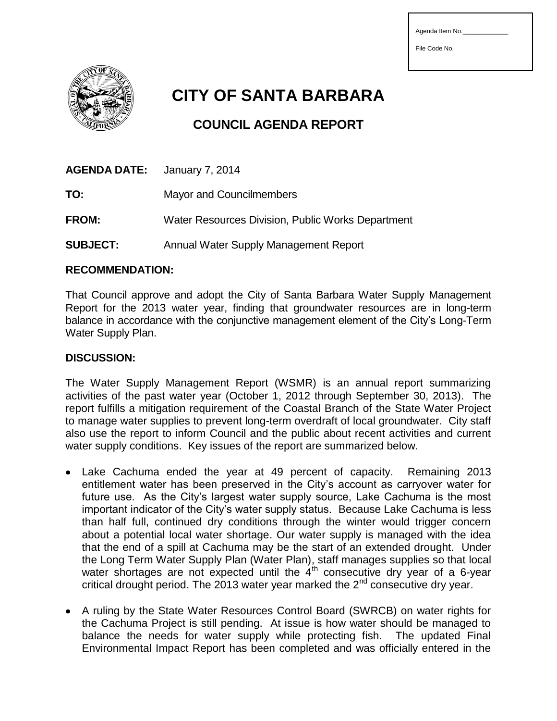| Agenda Item No. |  |
|-----------------|--|
| File Code No.   |  |
|                 |  |



**CITY OF SANTA BARBARA**

## **COUNCIL AGENDA REPORT**

| <b>AGENDA DATE:</b> January 7, 2014               |
|---------------------------------------------------|
| <b>Mayor and Councilmembers</b>                   |
| Water Resources Division, Public Works Department |
|                                                   |

## **SUBJECT:** Annual Water Supply Management Report

## **RECOMMENDATION:**

That Council approve and adopt the City of Santa Barbara Water Supply Management Report for the 2013 water year, finding that groundwater resources are in long-term balance in accordance with the conjunctive management element of the City's Long-Term Water Supply Plan.

## **DISCUSSION:**

The Water Supply Management Report (WSMR) is an annual report summarizing activities of the past water year (October 1, 2012 through September 30, 2013). The report fulfills a mitigation requirement of the Coastal Branch of the State Water Project to manage water supplies to prevent long-term overdraft of local groundwater. City staff also use the report to inform Council and the public about recent activities and current water supply conditions. Key issues of the report are summarized below.

- Lake Cachuma ended the year at 49 percent of capacity. Remaining 2013 entitlement water has been preserved in the City's account as carryover water for future use. As the City's largest water supply source, Lake Cachuma is the most important indicator of the City's water supply status. Because Lake Cachuma is less than half full, continued dry conditions through the winter would trigger concern about a potential local water shortage. Our water supply is managed with the idea that the end of a spill at Cachuma may be the start of an extended drought. Under the Long Term Water Supply Plan (Water Plan), staff manages supplies so that local water shortages are not expected until the  $4<sup>th</sup>$  consecutive dry year of a 6-year critical drought period. The 2013 water year marked the  $2<sup>nd</sup>$  consecutive dry year.
- A ruling by the State Water Resources Control Board (SWRCB) on water rights for the Cachuma Project is still pending. At issue is how water should be managed to balance the needs for water supply while protecting fish. The updated Final Environmental Impact Report has been completed and was officially entered in the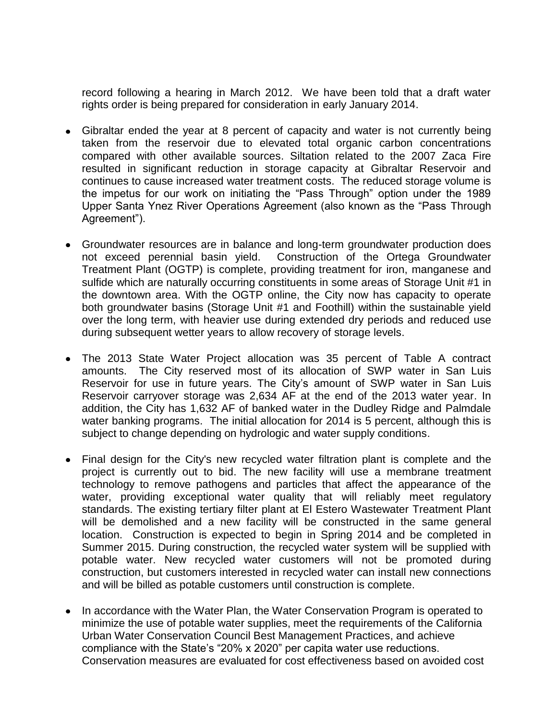record following a hearing in March 2012. We have been told that a draft water rights order is being prepared for consideration in early January 2014.

- Gibraltar ended the year at 8 percent of capacity and water is not currently being taken from the reservoir due to elevated total organic carbon concentrations compared with other available sources. Siltation related to the 2007 Zaca Fire resulted in significant reduction in storage capacity at Gibraltar Reservoir and continues to cause increased water treatment costs. The reduced storage volume is the impetus for our work on initiating the "Pass Through" option under the 1989 Upper Santa Ynez River Operations Agreement (also known as the "Pass Through Agreement").
- Groundwater resources are in balance and long-term groundwater production does not exceed perennial basin yield. Construction of the Ortega Groundwater Treatment Plant (OGTP) is complete, providing treatment for iron, manganese and sulfide which are naturally occurring constituents in some areas of Storage Unit #1 in the downtown area. With the OGTP online, the City now has capacity to operate both groundwater basins (Storage Unit #1 and Foothill) within the sustainable yield over the long term, with heavier use during extended dry periods and reduced use during subsequent wetter years to allow recovery of storage levels.
- The 2013 State Water Project allocation was 35 percent of Table A contract amounts. The City reserved most of its allocation of SWP water in San Luis Reservoir for use in future years. The City's amount of SWP water in San Luis Reservoir carryover storage was 2,634 AF at the end of the 2013 water year. In addition, the City has 1,632 AF of banked water in the Dudley Ridge and Palmdale water banking programs. The initial allocation for 2014 is 5 percent, although this is subject to change depending on hydrologic and water supply conditions.
- Final design for the City's new recycled water filtration plant is complete and the project is currently out to bid. The new facility will use a membrane treatment technology to remove pathogens and particles that affect the appearance of the water, providing exceptional water quality that will reliably meet regulatory standards. The existing tertiary filter plant at El Estero Wastewater Treatment Plant will be demolished and a new facility will be constructed in the same general location. Construction is expected to begin in Spring 2014 and be completed in Summer 2015. During construction, the recycled water system will be supplied with potable water. New recycled water customers will not be promoted during construction, but customers interested in recycled water can install new connections and will be billed as potable customers until construction is complete.
- In accordance with the Water Plan, the Water Conservation Program is operated to minimize the use of potable water supplies, meet the requirements of the California Urban Water Conservation Council Best Management Practices, and achieve compliance with the State's "20% x 2020" per capita water use reductions. Conservation measures are evaluated for cost effectiveness based on avoided cost